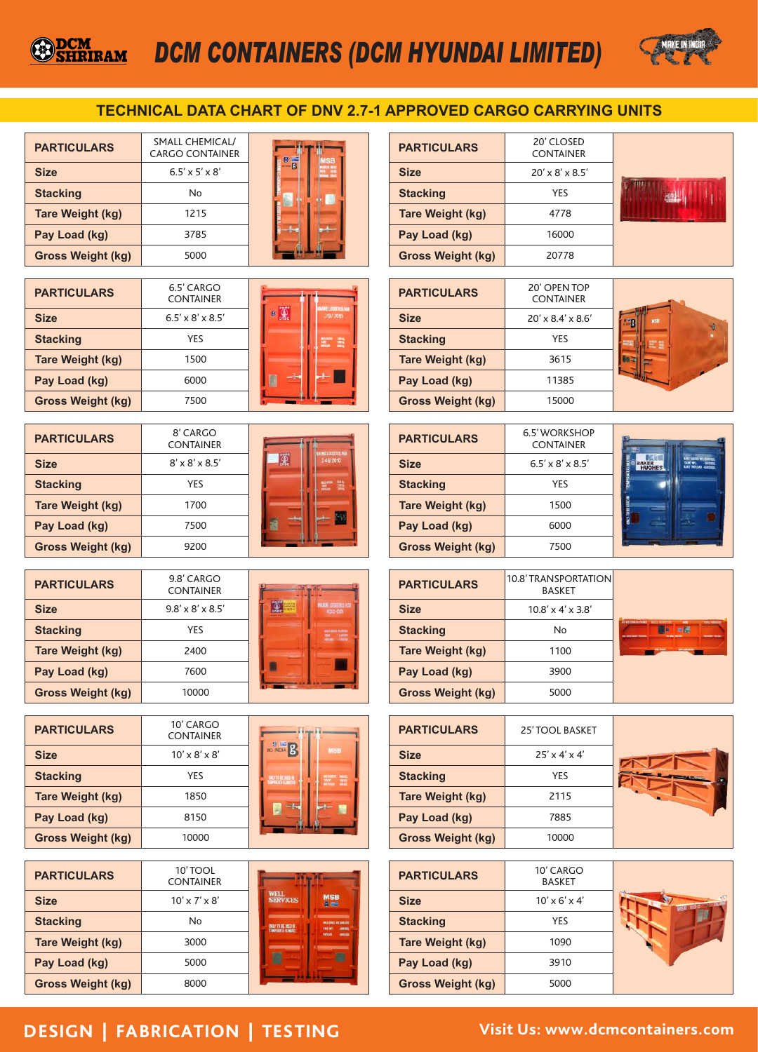# *DCM CONTAINERS (DCM HYUNDAI LIMITED)*



### **TECHNICAL DATA CHART OF DNV 2.7-1 APPROVED CARGO CARRYING UNITS**

| <b>PARTICULARS</b>       | <b>SMALL CHEMICAL/</b><br><b>CARGO CONTAINER</b> |  |
|--------------------------|--------------------------------------------------|--|
| <b>Size</b>              | $6.5' \times 5' \times 8'$                       |  |
| <b>Stacking</b>          | No                                               |  |
| <b>Tare Weight (kg)</b>  | 1215                                             |  |
| Pay Load (kg)            | 3785                                             |  |
| <b>Gross Weight (kg)</b> | 5000                                             |  |

| <b>PARTICULARS</b>       | 20' CLOSED<br><b>CONTAINER</b> |  |
|--------------------------|--------------------------------|--|
| <b>Size</b>              | $20' \times 8' \times 8.5'$    |  |
| <b>Stacking</b>          | <b>YFS</b>                     |  |
| <b>Tare Weight (kg)</b>  | 4778                           |  |
| Pay Load (kg)            | 16000                          |  |
| <b>Gross Weight (kg)</b> | 20778                          |  |

| <b>PARTICULARS</b>       | 6.5' CARGO<br><b>CONTAINER</b> | <b>ARNE LOCKTICS M</b> |
|--------------------------|--------------------------------|------------------------|
| <b>Size</b>              | $6.5' \times 8' \times 8.5'$   | ø<br>113/2010          |
| <b>Stacking</b>          | YES                            | 靈                      |
| <b>Tare Weight (kg)</b>  | 1500                           |                        |
| Pay Load (kg)            | 6000                           |                        |
| <b>Gross Weight (kg)</b> | 7500                           |                        |

| <b>PARTICULARS</b>       | 8' CARGO<br><b>CONTAINER</b> | <b>ARME LOKATIVA NI</b> |
|--------------------------|------------------------------|-------------------------|
| <b>Size</b>              | $8' \times 8' \times 8.5'$   | 148/2010                |
| <b>Stacking</b>          | <b>YES</b>                   | <b>WWW.</b> WA          |
| <b>Tare Weight (kg)</b>  | 1700                         |                         |
| Pay Load (kg)            | 7500                         |                         |
| <b>Gross Weight (kg)</b> | 9200                         |                         |

| <b>PARTICULARS</b>       | 9.8' CARGO<br><b>CONTAINER</b> |                                                               |
|--------------------------|--------------------------------|---------------------------------------------------------------|
| <b>Size</b>              | $9.8' \times 8' \times 8.5'$   | <b>MARKET LOCASSICS KSI</b><br>KCC-001                        |
| <b>Stacking</b>          | YES                            | <b>ALL CALLENGER COMMUNI</b><br><b>TERMIN</b><br><b>THEFT</b> |
| <b>Tare Weight (kg)</b>  | 2400                           |                                                               |
| Pay Load (kg)            | 7600                           |                                                               |
| <b>Gross Weight (kg)</b> | 10000                          |                                                               |

| <b>PARTICULARS</b>       | $10'$ CARGO<br><b>CONTAINER</b> |
|--------------------------|---------------------------------|
| <b>Size</b>              | $10' \times 8' \times 8'$       |
| <b>Stacking</b>          | <b>YES</b>                      |
| <b>Tare Weight (kg)</b>  | 1850                            |
| Pay Load (kg)            | 8150                            |
| <b>Gross Weight (kg)</b> | 10000                           |

| <b>BO INDIA</b> B        | <b>MSB</b>                                                                                                                  |
|--------------------------|-----------------------------------------------------------------------------------------------------------------------------|
|                          |                                                                                                                             |
| <b>DICYTO BE DIED IN</b> | $\begin{array}{l} \displaystyle \text{matrix} \\ \displaystyle \text{38.81} \\ \displaystyle \text{38.83} \end{array}$<br>m |
|                          |                                                                                                                             |
|                          |                                                                                                                             |

| <b>PARTICULARS</b>       | 10'TOOL<br><b>CONTAINER</b> |                                                                                              |
|--------------------------|-----------------------------|----------------------------------------------------------------------------------------------|
| <b>Size</b>              | $10' \times 7' \times 8'$   | <b>WELL</b><br><b>MSB</b><br><b>SERVICES</b><br><b>Bitter</b>                                |
| <b>Stacking</b>          | No                          | <b>MAA GUIDE BY AND RO</b><br>ONLY TO BE USED IN<br><b>MARKET</b><br><b>TENNERATE CENARE</b> |
| <b>Tare Weight (kg)</b>  | 3000                        | <b>DOCK</b>                                                                                  |
| Pay Load (kg)            | 5000                        |                                                                                              |
| <b>Gross Weight (kg)</b> | 8000                        |                                                                                              |

#### 20' OPEN TOP **PARTICULARS** CONTAINER 20' x 8.4' x 8.6' **Size**  $\overline{\phantom{a}}$ B **Stacking** YES **Tare Weight (kg)** 3615 **Baix** 11385 **Pay Load (kg)** 15000 **Gross Weight (kg)**





| <b>PARTICULARS</b>       | 10.8' TRANSPORTATION<br><b>BASKET</b> |                           |
|--------------------------|---------------------------------------|---------------------------|
| <b>Size</b>              | $10.8' \times 4' \times 3.8'$         |                           |
| <b>Stacking</b>          | No                                    | <b>EVALUATION SYSTEMS</b> |
| <b>Tare Weight (kg)</b>  | 1100                                  |                           |
| Pay Load (kg)            | 3900                                  |                           |
| <b>Gross Weight (kg)</b> | 5000                                  |                           |

| <b>PARTICULARS</b>       | <b>25' TOOL BASKET</b>    |  |
|--------------------------|---------------------------|--|
| <b>Size</b>              | $25' \times 4' \times 4'$ |  |
| <b>Stacking</b>          | YES                       |  |
| <b>Tare Weight (kg)</b>  | 2115                      |  |
| Pay Load (kg)            | 7885                      |  |
| <b>Gross Weight (kg)</b> | 10000                     |  |

| <b>PARTICULARS</b>       | 10' CARGO<br><b>BASKET</b> |  |
|--------------------------|----------------------------|--|
| <b>Size</b>              | $10' \times 6' \times 4'$  |  |
| <b>Stacking</b>          | YES                        |  |
| <b>Tare Weight (kg)</b>  | 1090                       |  |
| Pay Load (kg)            | 3910                       |  |
| <b>Gross Weight (kg)</b> | 5000                       |  |

## **DESIGN | FABRICATION | TESTING Visit Us: www.dcmcontainers.com**